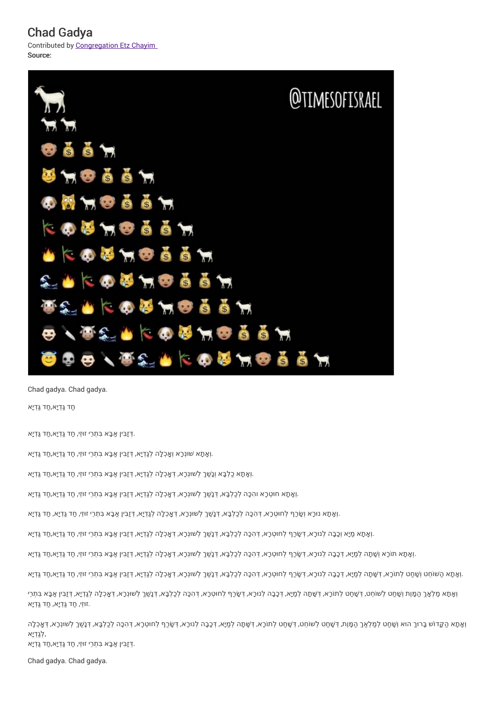Chad Gadya Contributed by Congregation Etz Chayim Source:



Chad gadya. Chad gadya. ַחד גַּ ְדיָא, ַחד גַּ ְדיָא

. ְדּזַבִּין ַאבָּא בִּתְרֵי זו ּזֵי, ַחד גַּ ְדיָא, ַחד גַּ ְדיָא

וְאָתָא שׁוּנְכָא וְאֱכְלָה לְגַדְיָא, דְּזַבִּין אַבָּא בִּתְרֵי זוּזֵי, חַד גַּדְיָא,חַד גַּדְיָא.

וְאָתָא כַלְבָּא וְנָשַׁךְ לְשוּנְכָא, דְּאָכְלָה לְגַדְיָא, דְּזַבִּין אַבָּא בִּתְרֵי זוּזֵי, חַד גַּדְיָא,חַד גַּדְיָא.

<mark>וְ</mark>אָתָא חוּטְרָא והִכָּה לְכַלְבָּא, דְּנָשַׁךְ לְשוּנְרָא, דְּאָכְלָה לְגַדְיָא, דְּזַבִּין אַבָּא בִּתְרֵי זוּזֵי, חַד גַּדְיָא,חַד גַּדְיָא.

וְאָתָא נוּכָא וְשָׂכַף לְחוּטְכָא, דְּהִכָּה לְכַלְבָּא, דְּנָשְׁךְ לְשוּנְכָא, דְּאַכְלָה לְגַדְיָא, דְּזַבִּין אַבָּא בִּתְרַי זוזֵי, חַד גַּדְיָא, חַד גַּדְיָא

וְאָתָא מַיָא וְכָבָה לְנוּרָא, דְּשָׂרַף לְחוּטְרָא, דְּהִכָּה לְכַלְבָּא, דְּנָשְׁךְ לְשוּנְרָא, דְּאַכְלָה לְגַדְיָא, זְּזַבִּין אַבָּא בִּתְרֵי זוּזַי, חַד גַּדְיָא,חַד גַּדְיָא

וְאָתָא תוֹכָא וְשָׁתָה לְמַיָא, דְּכָבָה לְנוּכָא, דְּשָׂכַף לְחוּטְכָא, דְּהָכָה לְכַלְבָּא, דְּנָשְׁךָ לְשוּנְכָא, דְּאַכְלָה לְגַדְיָא, דְּזַבִּין אַבָּא בִּתְרֵי זוּזַי, חַד גַּדְיָא,חַד גַּדְיָא

ַוְאָתָא הַשׁוֹחֵט וְשָׁחַט לְתוֹרָא, דְּשָׁתָה לְמַיָא, דְּכָבָה לְנוּרָא, דְּהָכָה לְנוּרָא, דְּהָכָּה לְכַלְכָּא, דְּנָפָה לְכַלְכָא, דְּנָא בְלֹכָה לְנוּרָא, דְּחַכָּה לְכַלְכָּא, דְּנָפָה לְכַלְכָּא, דְּנָפָה לְכוֹרָא

וְאָתָא מַלְאָךְ הַמָּוֶת וְשָׁחַט לְשׁוֹחֵט, דְּשָׁחַט לְתוֹכָא, דְּשָׁתָה לְמַיָא, דְּכָבָה לְנוּכָא, דְּשָׂרֵף לְחוּטְכָא, דְּהָכָּה לְכַלְבָּא, דְּנָשָׁךְ לְשוּנְכָא, דְּאָכְלָה לְנַדְיָא, דְּזַרְיוּ אַבָּא בִּתְרֵי .זו ּזֵי, ַחד גַּ ְדיָא, ַחד גַּ ְדיָא

וְאַתָא הַקֵּדוֹש בָּרוּךְ הוּא וְשַׁחַט לְמַלְאַךְ הַמָּוֶת, דְּשַׁחַט לְשוֹחֵט, דְּשַׁחַט לתוֹכָא, דְּשֶׁתָה לְמַיָא, דְּכֻבָה לְנוֹכָא, דְּשֶׁכךָ לְחוּטְרָא, דְּהָכָה לְכוֹבָא, דְּנָשְׁךָ לְשוּנְרָא, דְּאֲכְלָה ,לְגַ ְדיָא

. ְדּזַבִּין ַאבָּא בִּתְרֵי זו ּזֵי, ַחד גַּ ְדיָא, ַחד גַּ ְדיָא

Chad gadya. Chad gadya.